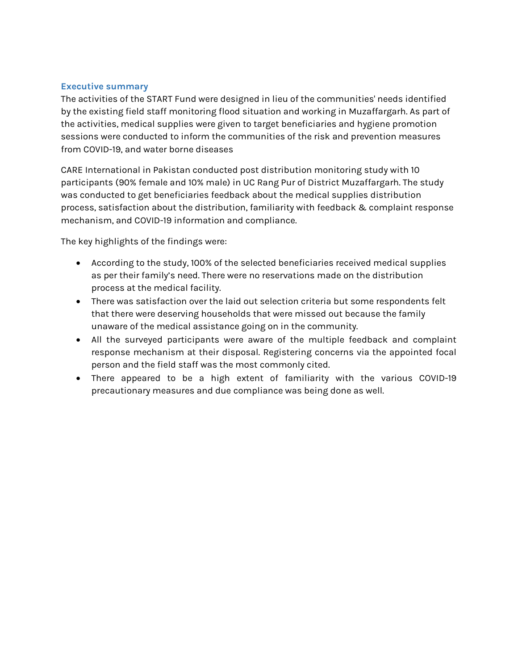# Executive summary

The activities of the START Fund were designed in lieu of the communities' needs identified by the existing field staff monitoring flood situation and working in Muzaffargarh. As part of the activities, medical supplies were given to target beneficiaries and hygiene promotion sessions were conducted to inform the communities of the risk and prevention measures from COVID-19, and water borne diseases

CARE International in Pakistan conducted post distribution monitoring study with 10 participants (90% female and 10% male) in UC Rang Pur of District Muzaffargarh. The study was conducted to get beneficiaries feedback about the medical supplies distribution process, satisfaction about the distribution, familiarity with feedback & complaint response mechanism, and COVID-19 information and compliance.

The key highlights of the findings were:

- According to the study, 100% of the selected beneficiaries received medical supplies as per their family's need. There were no reservations made on the distribution process at the medical facility.
- There was satisfaction over the laid out selection criteria but some respondents felt that there were deserving households that were missed out because the family unaware of the medical assistance going on in the community.
- All the surveyed participants were aware of the multiple feedback and complaint response mechanism at their disposal. Registering concerns via the appointed focal person and the field staff was the most commonly cited.
- There appeared to be a high extent of familiarity with the various COVID-19 precautionary measures and due compliance was being done as well.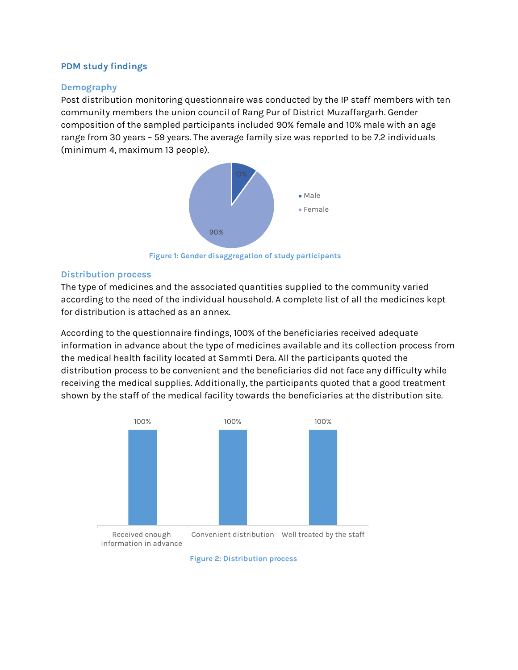# PDM study findings

## Demography

Post distribution monitoring questionnaire was conducted by the IP staff members with ten community members the union council of Rang Pur of District Muzaffargarh. Gender composition of the sampled participants included 90% female and 10% male with an age range from 30 years – 59 years. The average family size was reported to be 7.2 individuals (minimum 4, maximum 13 people).



Figure 1: Gender disaggregation of study participants

## Distribution process

The type of medicines and the associated quantities supplied to the community varied according to the need of the individual household. A complete list of all the medicines kept for distribution is attached as an annex.

According to the questionnaire findings, 100% of the beneficiaries received adequate information in advance about the type of medicines available and its collection process from the medical health facility located at Sammti Dera. All the participants quoted the distribution process to be convenient and the beneficiaries did not face any difficulty while receiving the medical supplies. Additionally, the participants quoted that a good treatment shown by the staff of the medical facility towards the beneficiaries at the distribution site. 90%<br>
Figure 1: Gender disaggregation of study participants<br>
sess<br>
sines and the associated quantities supplied to the community varied<br>
eneed of the individual household. A complete list of all the medicines kept<br>
attached



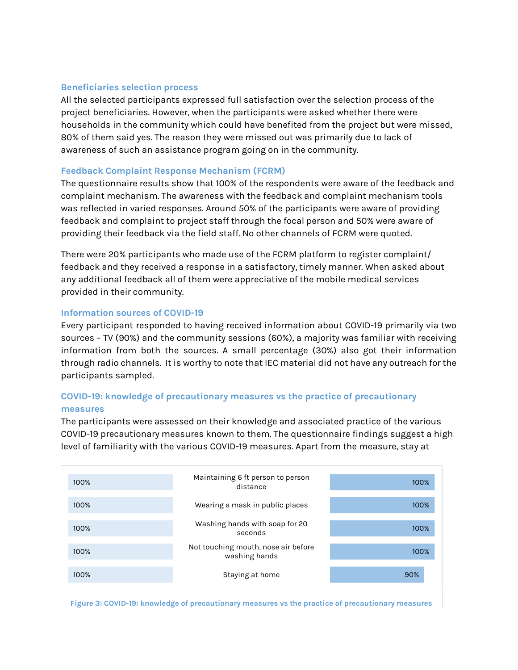#### Beneficiaries selection process

All the selected participants expressed full satisfaction over the selection process of the project beneficiaries. However, when the participants were asked whether there were households in the community which could have benefited from the project but were missed, 80% of them said yes. The reason they were missed out was primarily due to lack of awareness of such an assistance program going on in the community.

## Feedback Complaint Response Mechanism (FCRM)

The questionnaire results show that 100% of the respondents were aware of the feedback and complaint mechanism. The awareness with the feedback and complaint mechanism tools was reflected in varied responses. Around 50% of the participants were aware of providing feedback and complaint to project staff through the focal person and 50% were aware of providing their feedback via the field staff. No other channels of FCRM were quoted.

There were 20% participants who made use of the FCRM platform to register complaint/ feedback and they received a response in a satisfactory, timely manner. When asked about any additional feedback all of them were appreciative of the mobile medical services provided in their community.

# Information sources of COVID-19

Every participant responded to having received information about COVID-19 primarily via two sources – TV (90%) and the community sessions (60%), a majority was familiar with receiving information from both the sources. A small percentage (30%) also got their information through radio channels. It is worthy to note that IEC material did not have any outreach for the participants sampled.

# COVID-19: knowledge of precautionary measures vs the practice of precautionary measures

The participants were assessed on their knowledge and associated practice of the various COVID-19 precautionary measures known to them. The questionnaire findings suggest a high level of familiarity with the various COVID-19 measures. Apart from the measure, stay at



Figure 3: COVID-19: knowledge of precautionary measures vs the practice of precautionary measures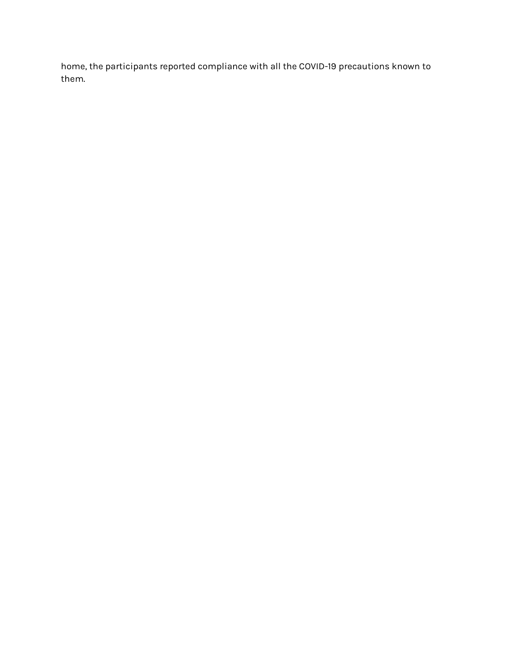home, the participants reported compliance with all the COVID-19 precautions known to them.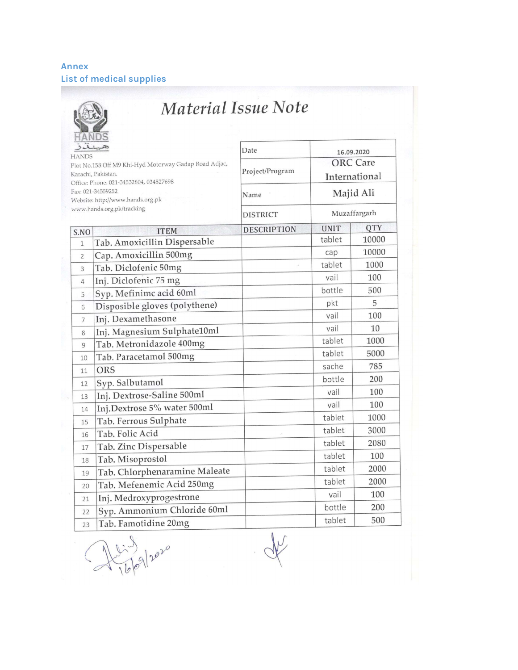# Annex List of medical supplies

 $\overline{\phantom{a}}$ 

|                                                                                                                       |                                                       | Date               |             |                                                |  |
|-----------------------------------------------------------------------------------------------------------------------|-------------------------------------------------------|--------------------|-------------|------------------------------------------------|--|
| Plot No.158 Off M9 Khi-Hyd Motorway Gadap Road Adjac,<br>Karachi, Pakistan.<br>Office: Phone: 021-34532804, 034527698 |                                                       | Project/Program    |             | 16.09.2020<br><b>ORC</b> Care<br>International |  |
|                                                                                                                       | Fax: 021-34559252<br>Website: http://www.hands.org.pk | Name               | Majid Ali   |                                                |  |
|                                                                                                                       | www.hands.org.pk/tracking                             | <b>DISTRICT</b>    |             | Muzaffargarh                                   |  |
| S.NO                                                                                                                  | <b>ITEM</b>                                           | <b>DESCRIPTION</b> | <b>UNIT</b> | <b>QTY</b>                                     |  |
| $\mathbf{1}$                                                                                                          | Tab. Amoxicillin Dispersable                          |                    | tablet      | 10000                                          |  |
| $\overline{2}$                                                                                                        | Cap. Amoxicillin 500mg                                |                    | cap         | 10000                                          |  |
| 3                                                                                                                     | Tab. Diclofenic 50mg                                  |                    | tablet      | 1000                                           |  |
| 4                                                                                                                     | Inj. Diclofenic 75 mg                                 |                    | vail        | 100                                            |  |
| 5                                                                                                                     | Syp. Mefinimc acid 60ml                               |                    | bottle      | 500                                            |  |
| 6                                                                                                                     | Disposible gloves (polythene)                         |                    | pkt         | 5                                              |  |
| 7                                                                                                                     | Inj. Dexamethasone                                    |                    | vail        | 100                                            |  |
| 8                                                                                                                     | Inj. Magnesium Sulphate10ml                           |                    | vail        | 10                                             |  |
| 9                                                                                                                     | Tab. Metronidazole 400mg                              |                    | tablet      | 1000                                           |  |
| 10                                                                                                                    | Tab. Paracetamol 500mg                                |                    | tablet      | 5000                                           |  |
| 11                                                                                                                    | ORS                                                   |                    | sache       | 785                                            |  |
| 12                                                                                                                    | Syp. Salbutamol                                       |                    | bottle      | 200                                            |  |
| 13                                                                                                                    | Inj. Dextrose-Saline 500ml                            |                    | vail        | 100                                            |  |
| 14                                                                                                                    | Inj.Dextrose 5% water 500ml                           |                    | vail        | 100                                            |  |
| 15                                                                                                                    | Tab. Ferrous Sulphate                                 |                    | tablet      | 1000                                           |  |
| 16                                                                                                                    | Tab. Folic Acid                                       |                    | tablet      | 3000                                           |  |
| 17                                                                                                                    | Tab. Zinc Dispersable                                 |                    | tablet      | 2080                                           |  |
| 18                                                                                                                    | Tab. Misoprostol                                      |                    | tablet      | 100                                            |  |
| 19                                                                                                                    | Tab. Chlorphenaramine Maleate                         |                    | tablet      | 2000                                           |  |
| 20                                                                                                                    | Tab. Mefenemic Acid 250mg                             |                    | tablet      | 2000                                           |  |
| 21                                                                                                                    | Inj. Medroxyprogestrone                               |                    | vail        | 100                                            |  |
| 22                                                                                                                    | Syp. Ammonium Chloride 60ml                           |                    | bottle      | 200                                            |  |
| 23                                                                                                                    | Tab. Famotidine 20mg                                  |                    | tablet      | 500                                            |  |

 $A^{1.3}_{16|0|10^{10}}$ 

V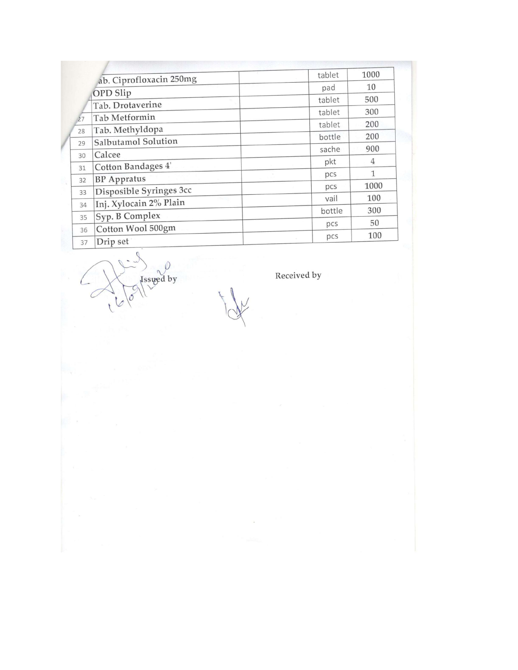| ab. Ciprofloxacin 250mg          | tablet | 1000         |
|----------------------------------|--------|--------------|
|                                  | pad    | 10           |
| OPD Slip                         | tablet | 500          |
| Tab. Drotaverine                 | tablet | 300          |
| <b>Tab Metformin</b><br>27       | tablet | 200          |
| Tab. Methyldopa<br>28            | bottle | 200          |
| <b>Salbutamol Solution</b><br>29 | sache  | 900          |
| Calcee<br>30                     | pkt    | 4            |
| Cotton Bandages 4'<br>31         | pcs    | $\mathbf{1}$ |
| <b>BP</b> Appratus<br>32         | pcs    | 1000         |
| Disposible Syringes 3cc<br>33    | vail   | 100          |
| Inj. Xylocain 2% Plain<br>34     | bottle | 300          |
| Syp. B Complex<br>35             |        | 50           |
| Cotton Wool 500gm<br>36          | pcs    |              |
| Drip set<br>37                   | pcs    | 100          |

 $\mathcal{O}$ Issued by

Received by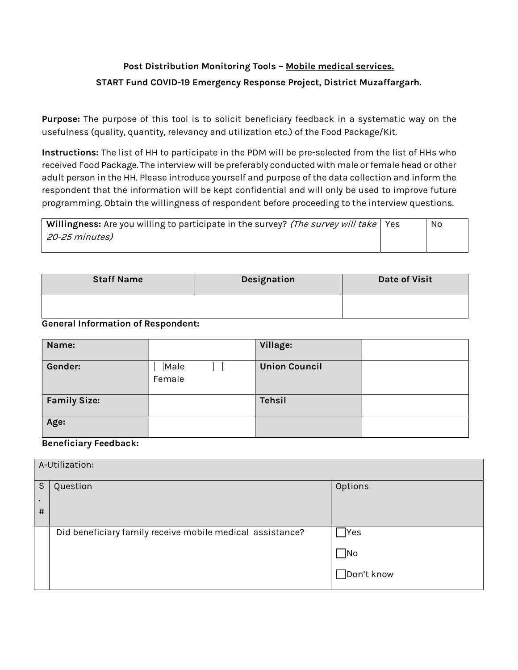# Post Distribution Monitoring Tools – Mobile medical services. START Fund COVID-19 Emergency Response Project, District Muzaffargarh.

Purpose: The purpose of this tool is to solicit beneficiary feedback in a systematic way on the usefulness (quality, quantity, relevancy and utilization etc.) of the Food Package/Kit.

Instructions: The list of HH to participate in the PDM will be pre-selected from the list of HHs who received Food Package. The interview will be preferably conducted with male or female head or other adult person in the HH. Please introduce yourself and purpose of the data collection and inform the respondent that the information will be kept confidential and will only be used to improve future programming. Obtain the willingness of respondent before proceeding to the interview questions.

| <b>Willingness:</b> Are you willing to participate in the survey? (The survey will take   Yes | No. |
|-----------------------------------------------------------------------------------------------|-----|
| 20-25 minutes)                                                                                |     |
|                                                                                               |     |

| <b>Staff Name</b> | Designation | <b>Date of Visit</b> |  |
|-------------------|-------------|----------------------|--|
|                   |             |                      |  |

## General Information of Respondent:

| Name:               |                 | Village:             |  |
|---------------------|-----------------|----------------------|--|
| Gender:             | □Male<br>Female | <b>Union Council</b> |  |
| <b>Family Size:</b> |                 | <b>Tehsil</b>        |  |
| Age:                |                 |                      |  |

## Beneficiary Feedback:

|           | A-Utilization:                                            |                                 |  |  |
|-----------|-----------------------------------------------------------|---------------------------------|--|--|
| S         | Question                                                  | Options                         |  |  |
| $\bullet$ |                                                           |                                 |  |  |
| #         |                                                           |                                 |  |  |
|           | Did beneficiary family receive mobile medical assistance? | Yes                             |  |  |
|           |                                                           | $\overline{\phantom{a}}$ No     |  |  |
|           |                                                           | $\sqrt{\frac{1}{1}}$ Don't know |  |  |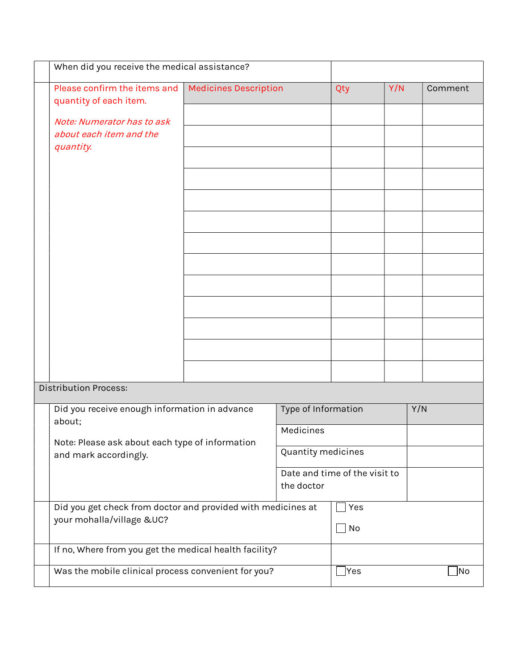| When did you receive the medical assistance?                 |                              |                     |                                |     |         |
|--------------------------------------------------------------|------------------------------|---------------------|--------------------------------|-----|---------|
| Please confirm the items and                                 | <b>Medicines Description</b> |                     | Qty                            | Y/N | Comment |
| quantity of each item.                                       |                              |                     |                                |     |         |
| Note: Numerator has to ask<br>about each item and the        |                              |                     |                                |     |         |
| quantity.                                                    |                              |                     |                                |     |         |
|                                                              |                              |                     |                                |     |         |
|                                                              |                              |                     |                                |     |         |
|                                                              |                              |                     |                                |     |         |
|                                                              |                              |                     |                                |     |         |
|                                                              |                              |                     |                                |     |         |
|                                                              |                              |                     |                                |     |         |
|                                                              |                              |                     |                                |     |         |
|                                                              |                              |                     |                                |     |         |
|                                                              |                              |                     |                                |     |         |
|                                                              |                              |                     |                                |     |         |
|                                                              |                              |                     |                                |     |         |
|                                                              |                              |                     |                                |     |         |
| Distribution Process:                                        |                              |                     |                                |     |         |
| Did you receive enough information in advance                |                              | Type of Information |                                |     | Y/N     |
| about;                                                       |                              | Medicines           |                                |     |         |
| Note: Please ask about each type of information              |                              | Quantity medicines  |                                |     |         |
| and mark accordingly.                                        |                              |                     | Date and time of the visit to  |     |         |
|                                                              |                              | the doctor          |                                |     |         |
| Did you get check from doctor and provided with medicines at |                              |                     | Yes                            |     |         |
| your mohalla/village &UC?                                    |                              |                     | No<br>$\overline{\phantom{a}}$ |     |         |
|                                                              |                              |                     |                                |     |         |
| If no, Where from you get the medical health facility?       |                              |                     |                                |     |         |
| Was the mobile clinical process convenient for you?          |                              |                     | $\exists$ Yes                  |     | No      |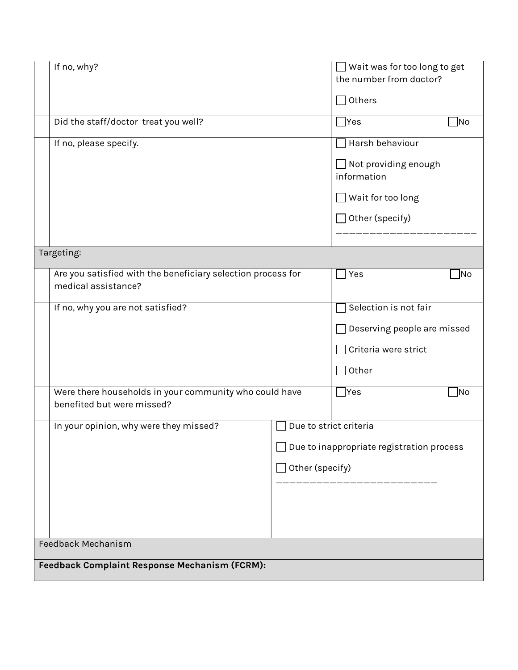|                    | If no, why?                                                  |  | Wait was for too long to get              |  |
|--------------------|--------------------------------------------------------------|--|-------------------------------------------|--|
|                    |                                                              |  | the number from doctor?                   |  |
|                    |                                                              |  | Others                                    |  |
|                    |                                                              |  |                                           |  |
|                    | Did the staff/doctor treat you well?                         |  | $\gamma$ es<br>No                         |  |
|                    | If no, please specify.                                       |  | Harsh behaviour                           |  |
|                    |                                                              |  | $\Box$ Not providing enough               |  |
|                    |                                                              |  | information                               |  |
|                    |                                                              |  | $\rfloor$ Wait for too long               |  |
|                    |                                                              |  | Other (specify)                           |  |
|                    |                                                              |  |                                           |  |
|                    | Targeting:                                                   |  |                                           |  |
|                    | Are you satisfied with the beneficiary selection process for |  | Yes<br> No                                |  |
|                    | medical assistance?                                          |  |                                           |  |
|                    | If no, why you are not satisfied?                            |  | Selection is not fair                     |  |
|                    |                                                              |  | Deserving people are missed               |  |
|                    |                                                              |  | Criteria were strict                      |  |
|                    |                                                              |  | Other                                     |  |
|                    | Were there households in your community who could have       |  | ∏Yes<br>No                                |  |
|                    | benefited but were missed?                                   |  |                                           |  |
|                    | In your opinion, why were they missed?                       |  | Due to strict criteria                    |  |
|                    |                                                              |  |                                           |  |
|                    |                                                              |  | Due to inappropriate registration process |  |
|                    | Other (specify)                                              |  |                                           |  |
|                    |                                                              |  |                                           |  |
|                    |                                                              |  |                                           |  |
|                    |                                                              |  |                                           |  |
|                    |                                                              |  |                                           |  |
| Feedback Mechanism |                                                              |  |                                           |  |
|                    | Feedback Complaint Response Mechanism (FCRM):                |  |                                           |  |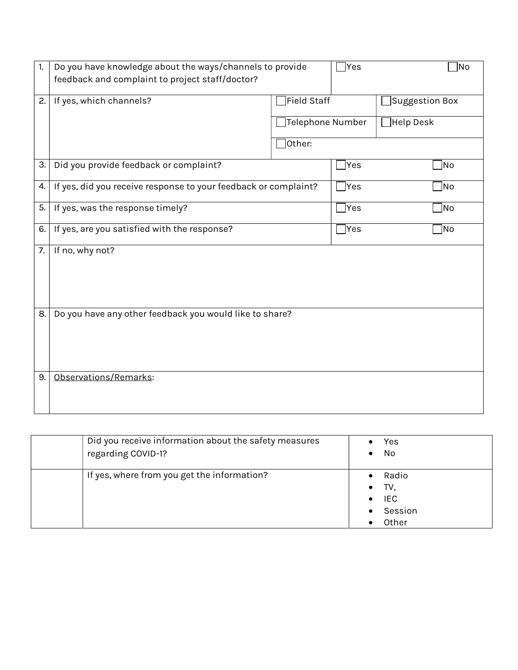| 1. | Do you have knowledge about the ways/channels to provide        |                  | Yes] | No             |
|----|-----------------------------------------------------------------|------------------|------|----------------|
|    | feedback and complaint to project staff/doctor?                 |                  |      |                |
| 2. | If yes, which channels?                                         | Field Staff      |      | Suggestion Box |
|    |                                                                 | Telephone Number |      | Help Desk      |
|    |                                                                 | other:           |      |                |
| 3. | Did you provide feedback or complaint?                          |                  | Yes  | No             |
| 4. | If yes, did you receive response to your feedback or complaint? |                  | Yes] | No             |
| 5. | If yes, was the response timely?                                |                  |      | No]            |
| 6. | If yes, are you satisfied with the response?                    |                  |      | No             |
| 7. | If no, why not?                                                 |                  |      |                |
| 8. | Do you have any other feedback you would like to share?         |                  |      |                |
| 9. | Observations/Remarks:                                           |                  |      |                |

| Did you receive information about the safety measures<br>regarding COVID-1? | Yes<br>No<br>$\bullet$                                                                |
|-----------------------------------------------------------------------------|---------------------------------------------------------------------------------------|
| If yes, where from you get the information?                                 | Radio<br>TV,<br>$\bullet$<br><b>IEC</b><br>$\bullet$<br>Session<br>$\bullet$<br>Other |